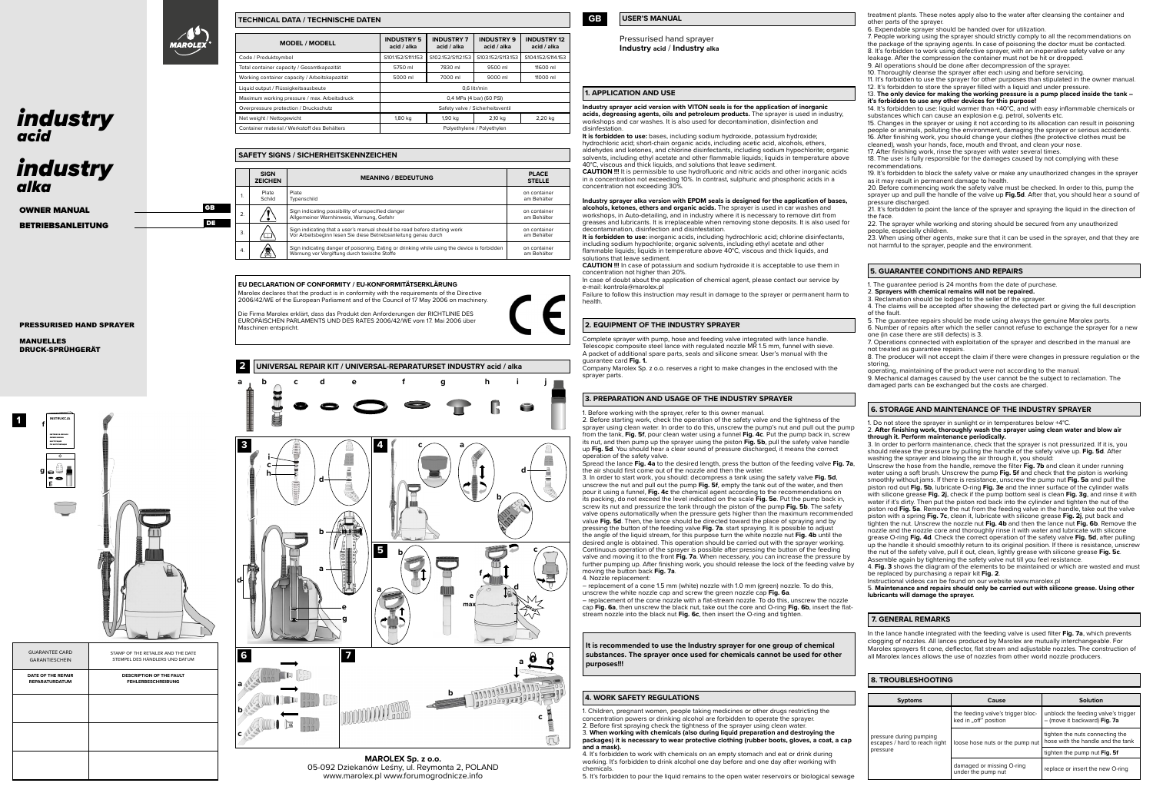| <b>GUARANTEE CARD</b><br><b>GARANTIESCHEIN</b> | STAMP OF THE RETAILER AND THE DATE<br>STEMPEL DES HÄNDLERS UND DATUM |
|------------------------------------------------|----------------------------------------------------------------------|
| DATE OF THE REPAIR<br><b>REPARATURDATUM</b>    | DESCRIPTION OF THE FAULT<br><b>FEHLERBESCHREIBUNG</b>                |
|                                                |                                                                      |
|                                                |                                                                      |
|                                                |                                                                      |

Pressurised hand sprayer **Industry acid** / **Industry alka**

 **TECHNICAL DATA / TECHNISCHE DATEN**

### **1. APPLICATION AND USE**

**Industry sprayer acid version with VITON seals is for the application of inorganic acids, degreasing agents, oils and petroleum products.** The sprayer is used in industry, workshops and car washes. It is also used for decontamination, disinfection and disinfestation.

**It is forbidden to use:** inorganic acids, including hydrochloric acid; chlorine disinfectants, including sodium hypochlorite; organic solvents, including ethyl acetate and other flammable liquids; liquids in temperature above 40°C, viscous and thick liquids, and olutions that leave sediment

**It is forbidden to use:** bases, including sodium hydroxide, potassium hydroxide; hydrochloric acid; short-chain organic acids, including acetic acid, alcohols, ethers, aldehydes and ketones, and chlorine disinfectants, including sodium hypochlorite; organic solvents, including ethyl acetate and other flammable liquids; liquids in temperature above 40°C, viscous and thick liquids, and solutions that leave sediment. **CAUTION !!!** It is permissible to use hydrofluoric and nitric acids and other inorganic acids in a concentration not exceeding 10%. In contrast, sulphuric and phosphoric acids in a concentration not exceeding 30%.

In case of doubt about the application of chemical agent, please contact our service by e-mail: kontrola@marolex.pl

# **Industry sprayer alka version with EPDM seals is designed for the application of bases,**

**alcohols, ketones, ethers and organic acids.** The sprayer is used in car washes and workshops, in Auto-detailing, and in industry where it is necessary to remove dirt from greases and lubricants. It is irreplaceable when removing stone deposits. It is also used for decontamination, disinfection and disinfestation.

**CAUTION !!!** In case of potassium and sodium hydroxide it is acceptable to use them in concentration not higher than 20%.

Failure to follow this instruction may result in damage to the sprayer or permanent harm to health.

| <b>MODEL / MODELL</b>                         | <b>INDUSTRY 5</b><br>acid / alka | <b>INDUSTRY 7</b><br>acid / alka | <b>INDUSTRY 9</b><br>acid / alka | <b>INDUSTRY 12</b><br>acid / alka |
|-----------------------------------------------|----------------------------------|----------------------------------|----------------------------------|-----------------------------------|
| Code / Produktsymbol                          | S101.152/S111.153                | S102.152/S112.153                | S103.152/S113.153                | S104.152/S114.153                 |
| Total container capacity / Gesamtkapazität    | 5750 ml                          | 7830 ml                          | 9500 ml                          | 11600 ml                          |
| Working container capacity / Arbeitskapazität | 5000 ml                          | 7000 ml                          | 9000 ml                          | 11000 ml                          |
| Liquid output / Flüssigkeitsausbeute          | 0.6 litr/min                     |                                  |                                  |                                   |
| Maximum working pressure / max. Arbeitsdruck  |                                  |                                  | 0,4 MPa (4 bar) (60 PSI)         |                                   |
| Overpressure protection / Druckschutz         |                                  |                                  | Safety valve / Sicherheitsventil |                                   |
| Net weight / Nettogewicht                     | 1,80 kg                          | 1,90 kg                          | 2,10 kg                          | 2,20 kg                           |
| Container material / Werkstoff des Behälters  | Polvethylene / Polvethylen       |                                  |                                  |                                   |

### **2. EQUIPMENT OF THE INDUSTRY SPRAYER**

Complete sprayer with pump, hose and feeding valve integrated with lance handle. Telescopic composite steel lance with regulated nozzle MR 1.5 mm, funnel with sieve. A packet of additional spare parts, seals and silicone smear. User's manual with the guarantee card **Fig. 1.**

Company Marolex Sp. z o.o. reserves a right to make changes in the enclosed with the sprayer parts.

# **3. PREPARATION AND USAGE OF THE INDUSTRY SPRAYER**

# **5. GUARANTEE CONDITIONS AND REPAIRS**

. The guarantee period is 24 months from the date of purchase.

# **4. WORK SAFETY REGULATIONS**

1. Before working with the sprayer, refer to this owner manual. 2. Before starting work, check the operation of the safety valve and the tightness of the sprayer using clean water. In order to do this, unscrew the pump's nut and pull out the pump from the tank, **Fig. 5f**, pour clean water using a funnel **Fig. 4c**. Put the pump back in, screw its nut, and then pump up the sprayer using the piston **Fig. 5b**, pull the safety valve handle up **Fig. 5d**. You should hear a clear sound of pressure discharged, it means the correct operation of the safety valve.

Spread the lance **Fig. 4a** to the desired length, press the button of the feeding valve **Fig. 7a**, the air should first come out of the nozzle and then the water. 3. In order to start work, you should: decompress a tank using the safety valve **Fig. 5d**, unscrew the nut and pull out the pump **Fig. 5f**, empty the tank out of the water, and then pour it using a funnel, **Fig. 4c** the chemical agent according to the recommendations on its packing, do not exceed the level indicated on the scale **Fig. 5e**. Put the pump back in, screw its nut and pressurize the tank through the piston of the pump **Fig. 5b**. The safety valve opens automatically when the pressure gets higher than the maximum recommended value **Fig. 5d**. Then, the lance should be directed toward the place of spraying and by pressing the button of the feeding valve **Fig. 7a**. start spraying. It is possible to adjust the angle of the liquid stream, for this purpose turn the white nozzle nut **Fig. 4b** until the desired angle is obtained. This operation should be carried out with the sprayer working. Continuous operation of the sprayer is possible after pressing the button of the feeding valve and moving it to the front **Fig. 7a**. When necessary, you can increase the pressure by further pumping up. After finishing work, you should release the lock of the feeding valve by moving the button back **Fig. 7a**.



GB **DE** 



1. Children, pregnant women, people taking medicines or other drugs restricting the concentration powers or drinking alcohol are forbidden to operate the sprayer. 2. Before first spraying check the tightness of the sprayer using clean water. 3. **When working with chemicals (also during liquid preparation and destroying the packages) it is necessary to wear protective clothing (rubber boots, gloves, a coat, a cap and a mask).**

4. It's forbidden to work with chemicals on an empty stomach and eat or drink during working. It's forbidden to drink alcohol one day before and one day after working with chemicals.

5. It's forbidden to pour the liquid remains to the open water reservoirs or biological sewage

- 2. **Sprayers with chemical remains will not be repaired.**
- 3. Reclamation should be lodged to the seller of the sprayer.

23. When using other agents, make sure that it can be used in the sprayer, and that they are not harmful to the sprayer, people and the environment

4. The claims will be accepted after showing the defected part or giving the full description of the fault. 5. The guarantee repairs should be made using always the genuine Marolex parts.

6. Number of repairs after which the seller cannot refuse to exchange the sprayer for a new one (in case there are still defects) is 3.

| <b>Syptoms</b>                                                       | Cause                                                      | Solution                                                             |
|----------------------------------------------------------------------|------------------------------------------------------------|----------------------------------------------------------------------|
|                                                                      | the feeding valve's trigger bloc-<br>ked in "off" position | unblock the feeding valve's trigger<br>- (move it backward) Fig. 7a  |
| pressure during pumping<br>escapes / hard to reach right<br>pressure | loose hose nuts or the pump nut                            | tighten the nuts connecting the<br>hose with the handle and the tank |
|                                                                      |                                                            | tighten the pump nut Fig. 5f                                         |
|                                                                      | damaged or missing O-ring<br>under the pump nut            | replace or insert the new O-ring                                     |

7. Operations connected with exploitation of the sprayer and described in the manual are not treated as guarantee repairs.

8. The producer will not accept the claim if there were changes in pressure regulation or the storing,

operating, maintaining of the product were not according to the manual. 9. Mechanical damages caused by the user cannot be the subject to reclamation. The damaged parts can be exchanged but the costs are charged.

4. Nozzle replacement: – replacement of a cone 1.5 mm (white) nozzle with 1.0 mm (green) nozzle. To do this, unscrew the white nozzle cap and screw the green nozzle cap **Fig. 6a**. – replacement of the cone nozzle with a flat-stream nozzle. To do this, unscrew the nozzle cap **Fig. 6a**, then unscrew the black nut, take out the core and O-ring **Fig. 6b**, insert the flatstream nozzle into the black nut Fig. 6c, then insert the O-ring and tight 5. **Maintenance and repairs should only be carried out with silicone grease. Using other lubricants will damage the sprayer.**

### 2. **After finishing work, thoroughly wash the sprayer using clean water and blow air through it. Perform maintenance periodically.**

3. In order to perform maintenance, check that the sprayer is not pressurized. If it is, you should release the pressure by pulling the handle of the safety valve up. **Fig. 5d**. After washing the sprayer and blowing the air through it, you should:

| SAFETY SIGNS / SICHERHEITSKENNZEICHEN |                               |                                                                                                                                             |                               |
|---------------------------------------|-------------------------------|---------------------------------------------------------------------------------------------------------------------------------------------|-------------------------------|
|                                       | <b>SIGN</b><br><b>ZEICHEN</b> | <b>MEANING / BEDEUTUNG</b>                                                                                                                  | <b>PLACE</b><br><b>STELLE</b> |
| 1.                                    | Plate<br>Schild               | Plate<br>Typenschild                                                                                                                        | on container<br>am Behälter   |
| $\overline{2}$                        |                               | Sign indicating possibility of unspecified danger<br>Allgemeiner Warnhinweis, Warnung, Gefahr                                               | on container<br>am Behälter   |
| 3.                                    | LL.                           | Sign indicating that a user's manual should be read before starting work<br>Vor Arbeitsbeginn lesen Sie diese Betriebsanleitung genau durch | on container<br>am Behälter   |
| $\overline{4}$                        | ছ                             | Sign indicating danger of poisoning. Eating or drinking while using the device is forbidden<br>Warnung vor Vergiftung durch toxische Stoffe | on container<br>am Behälter   |

Unscrew the hose from the handle, remove the filter **Fig. 7b** and clean it under running water using a soft brush. Unscrew the pump **Fig. 5f** and check that the piston is working smoothly without jams. If there is resistance, unscrew the pump nut **Fig. 5a** and pull the piston rod out **Fig. 5b**, lubricate O-ring **Fig. 3e** and the inner surface of the cylinder walls with silicone grease **Fig. 2j**, check if the pump bottom seal is clean **Fig. 3g**, and rinse it with water if it's dirty. Then put the piston rod back into the cylinder and tighten the nut of the piston rod **Fig. 5a**. Remove the nut from the feeding valve in the handle, take out the valve piston with a spring **Fig. 7c**, clean it, lubricate with silicone grease **Fig. 2j**, put back and tighten the nut. Unscrew the nozzle nut **Fig. 4b** and then the lance nut **Fig. 6b**. Remove the nozzle and the nozzle core and thoroughly rinse it with water and lubricate with silicone grease O-ring **Fig. 4d**. Check the correct operation of the safety valve **Fig. 5d**, after pulling up the handle it should smoothly return to its original position. If there is resistance, unscrew the nut of the safety valve, pull it out, clean, lightly grease with silicone grease **Fig. 5c**. Assemble again by tightening the safety valve nut till you feel resistance.

4. **Fig. 3** shows the diagram of the elements to be maintained or which are wasted and must be replaced by purchasing a repair kit **Fig. 2**.

Instructional videos can be found on our website www.marolex.pl

# **6. STORAGE AND MAINTENANCE OF THE INDUSTRY SPRAYER**

1. Do not store the sprayer in sunlight or in temperatures below +4°C.

**MAROLEX Sp. z o.o.** 05-092 Dziekanów Leśny, ul. Reymonta 2, POLAND www.marolex.pl www.forumogrodnicze.info

OWNER MANUAL BETRIEBSANLEITUNG

PRESSURISED HAND SPRAYER MANUELLES

DRUCK-SPRÜHGERÄT

**It is recommended to use the Industry sprayer for one group of chemical substances. The sprayer once used for chemicals cannot be used for other purposes!!!**



**1**

**EU DECLARATION OF CONFORMITY / EU-KONFORMITÄTSERKLÄRUNG** Marolex declares that the product is in conformity with the requirements of the Directive 2006/42/WE of the European Parliament and of the Council of 17 May 2006 on machinery.

Die Firma Marolex erklärt, dass das Produkt den Anforderungen der RICHTLINIE DES EUROPÄISCHEN PARLAMENTS UND DES RATES 2006/42/WE vom 17. Mai 2006 über Maschinen entspricht.

# *industry acid*

treatment plants. These notes apply also to the water after cleansing the container and other parts of the sprayer.

6. Expendable sprayer should be handed over for utilization.

7. People working using the sprayer should strictly comply to all the recommendations on the package of the spraying agents. In case of poisoning the doctor must be contacted. 8. It's forbidden to work using defective sprayer, with an inoperative safety valve or any leakage. After the compression the container must not be hit or dropped.

9. All operations should be done after decompression of the sprayer.

10. Thoroughly cleanse the sprayer after each using and before servicing.

11. It's forbidden to use the sprayer for other purposes than stipulated in the owner manual. 12. It's forbidden to store the sprayer filled with a liquid and under pressure.



13. **The only device for making the working pressure is a pump placed inside the tank – it's forbidden to use any other devices for this purpose!** 

14. It's forbidden to use: liquid warmer than +40°C, and with easy inflammable chemicals or substances which can cause an explosion e.g. petrol, solvents etc.

15. Changes in the sprayer or using it not according to its allocation can result in poisoning people or animals, polluting the environment, damaging the sprayer or serious accidents. 16. After finishing work, you should change your clothes (the protective clothes must be

cleaned), wash your hands, face, mouth and throat, and clean your nose.

17. After finishing work, rinse the sprayer with water several times. 18. The user is fully responsible for the damages caused by not complying with these recommendations.

19. It's forbidden to block the safety valve or make any unauthorized changes in the sprayer as it may result in permanent damage to health.

20. Before commencing work the safety valve must be checked. In order to this, pump the sprayer up and pull the handle of the valve up **Fig.5d**. After that, you should hear a sound of pressure discharged.

21. It's forbidden to point the lance of the sprayer and spraying the liquid in the direction of the face.

22. The sprayer while working and storing should be secured from any unauthorized people, especially children.

In the lance handle integrated with the feeding valve is used filter **Fig. 7a**, which prevents clogging of nozzles. All lances produced by Marolex are mutually interchangeable. For Marolex sprayers fit cone, deflector, flat stream and adjustable nozzles. The construction of all Marolex lances allows the use of nozzles from other world nozzle producers.

# **7. GENERAL REMARKS**

# *industry alka*

# **8. TROUBLESHOOTING**